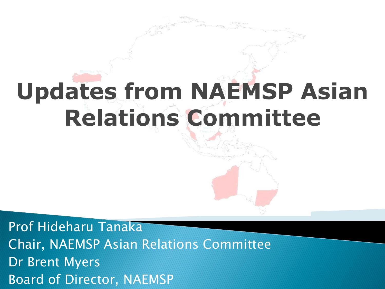#### **Updates from NAEMSP Asian Relations Committee**

Prof Hideharu Tanaka Chair, NAEMSP Asian Relations Committee Dr Brent Myers Board of Director, NAEMSP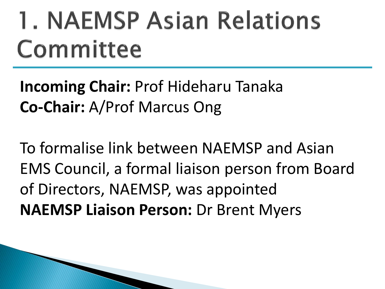#### 1. NAEMSP Asian Relations Committee

**Incoming Chair:** Prof Hideharu Tanaka **Co-Chair:** A/Prof Marcus Ong

To formalise link between NAEMSP and Asian EMS Council, a formal liaison person from Board of Directors, NAEMSP, was appointed **NAEMSP Liaison Person:** Dr Brent Myers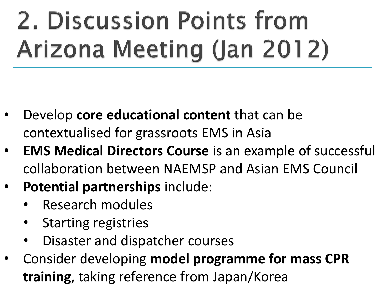# 2. Discussion Points from Arizona Meeting (Jan 2012)

- Develop **core educational content** that can be contextualised for grassroots EMS in Asia
- **EMS Medical Directors Course** is an example of successful collaboration between NAEMSP and Asian EMS Council
- **Potential partnerships** include:
	- Research modules
	- Starting registries
	- Disaster and dispatcher courses
- Consider developing **model programme for mass CPR training**, taking reference from Japan/Korea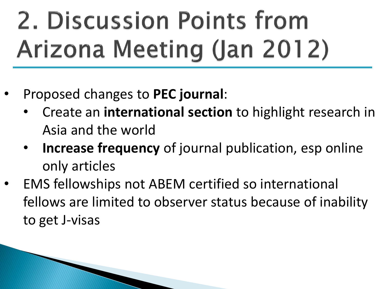## 2. Discussion Points from Arizona Meeting (Jan 2012)

- Proposed changes to **PEC journal**:
	- Create an **international section** to highlight research in Asia and the world
	- **Increase frequency** of journal publication, esp online only articles
- EMS fellowships not ABEM certified so international fellows are limited to observer status because of inability to get J-visas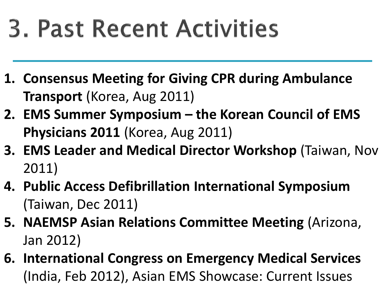### **3. Past Recent Activities**

- **1. Consensus Meeting for Giving CPR during Ambulance Transport** (Korea, Aug 2011)
- **2. EMS Summer Symposium – the Korean Council of EMS Physicians 2011** (Korea, Aug 2011)
- **3. EMS Leader and Medical Director Workshop** (Taiwan, Nov 2011)
- **4. Public Access Defibrillation International Symposium**  (Taiwan, Dec 2011)
- **5. NAEMSP Asian Relations Committee Meeting** (Arizona, Jan 2012)
- **6. International Congress on Emergency Medical Services**  (India, Feb 2012), Asian EMS Showcase: Current Issues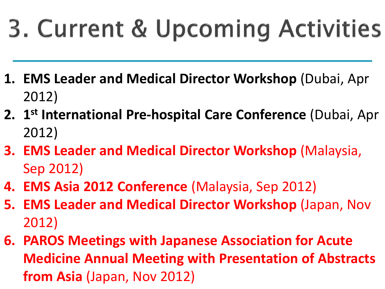# 3. Current & Upcoming Activities

- **1. EMS Leader and Medical Director Workshop** (Dubai, Apr 2012)
- **2. 1 st International Pre-hospital Care Conference** (Dubai, Apr 2012)
- **3. EMS Leader and Medical Director Workshop** (Malaysia, Sep 2012)
- **4. EMS Asia 2012 Conference** (Malaysia, Sep 2012)
- **5. EMS Leader and Medical Director Workshop** (Japan, Nov 2012)
- **6. PAROS Meetings with Japanese Association for Acute Medicine Annual Meeting with Presentation of Abstracts from Asia** (Japan, Nov 2012)